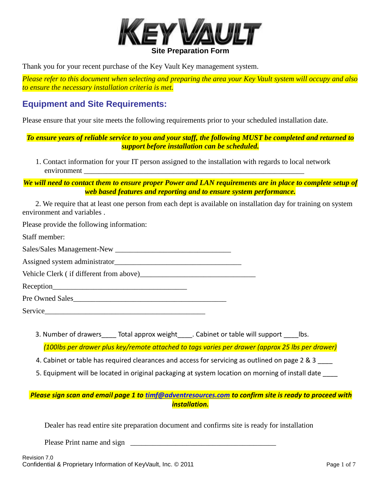

Thank you for your recent purchase of the Key Vault Key management system.

*Please refer to this document when selecting and preparing the area your Key Vault system will occupy and also to ensure the necessary installation criteria is met.*

### **Equipment and Site Requirements:**

Please ensure that your site meets the following requirements prior to your scheduled installation date.

*To ensure years of reliable service to you and your staff, the following MUST be completed and returned to support before installation can be scheduled.*

1. Contact information for your IT person assigned to the installation with regards to local network environment

*We will need to contact them to ensure proper Power and LAN requirements are in place to complete setup of web based features and reporting and to ensure system performance.*

 2. We require that at least one person from each dept is available on installation day for training on system environment and variables .

Please provide the following information:

Staff member: Sales/Sales Management-New \_\_\_\_\_\_\_\_\_\_\_\_\_\_\_\_\_\_\_\_\_\_\_\_\_\_\_\_\_\_\_

Assigned system administrator\_\_\_\_\_\_\_\_\_\_\_\_\_\_\_\_\_\_\_\_\_\_\_\_\_\_\_\_\_\_\_\_\_\_

Vehicle Clerk (if different from above)

Reception

Pre Owned Sales

Service

3. Number of drawers \_\_\_\_ Total approx weight \_\_\_\_. Cabinet or table will support \_\_\_\_\_lbs.

*(100lbs per drawer plus key/remote attached to tags varies per drawer (approx 25 lbs per drawer)*

4. Cabinet or table has required clearances and access for servicing as outlined on page 2 & 3

5. Equipment will be located in original packaging at system location on morning of install date

### *Please sign scan and email page 1 to [timf@adventresources.com](mailto:timf@adventresources.com) to confirm site is ready to proceed with installation.*

Dealer has read entire site preparation document and confirms site is ready for installation

Please Print name and sign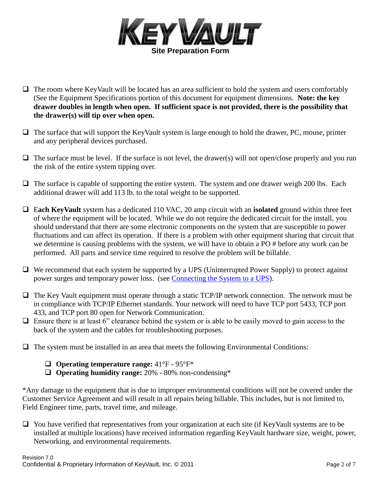

- $\Box$  The room where KeyVault will be located has an area sufficient to hold the system and users comfortably (See the Equipment Specifications portion of this document for equipment dimensions. **Note: the key drawer doubles in length when open. If sufficient space is not provided, there is the possibility that the drawer(s) will tip over when open.**
- $\Box$  The surface that will support the KeyVault system is large enough to hold the drawer, PC, mouse, printer and any peripheral devices purchased.
- $\Box$  The surface must be level. If the surface is not level, the drawer(s) will not open/close properly and you run the risk of the entire system tipping over.
- $\Box$  The surface is capable of supporting the entire system. The system and one drawer weigh 200 lbs. Each additional drawer will add 113 lb. to the total weight to be supported.
- E**ach KeyVault** system has a dedicated 110 VAC, 20 amp circuit with an **isolated** ground within three feet of where the equipment will be located. While we do not require the dedicated circuit for the install, you should understand that there are some electronic components on the system that are susceptible to power fluctuations and can affect its operation. If there is a problem with other equipment sharing that circuit that we determine is causing problems with the system, we will have to obtain a PO # before any work can be performed. All parts and service time required to resolve the problem will be billable.
- $\Box$  We recommend that each system be supported by a UPS (Uninterrupted Power Supply) to protect against power surges and temporary power loss. (see Connecting the System to a UPS).
- $\Box$  The Key Vault equipment must operate through a static TCP/IP network connection. The network must be in compliance with TCP/IP Ethernet standards. Your network will need to have TCP port 5433, TCP port 433, and TCP port 80 open for Network Communication.
- $\Box$  Ensure there is at least 6" clearance behind the system or is able to be easily moved to gain access to the back of the system and the cables for troubleshooting purposes.
- $\Box$  The system must be installed in an area that meets the following Environmental Conditions:
	- **Operating temperature range:** 41°F 95°F\*
	- **Operating humidity range:** 20% 80% non-condensing\*

\*Any damage to the equipment that is due to improper environmental conditions will not be covered under the Customer Service Agreement and will result in all repairs being billable. This includes, but is not limited to, Field Engineer time, parts, travel time, and mileage.

 $\Box$  You have verified that representatives from your organization at each site (if KeyVault systems are to be installed at multiple locations) have received information regarding KeyVault hardware size, weight, power, Networking, and environmental requirements.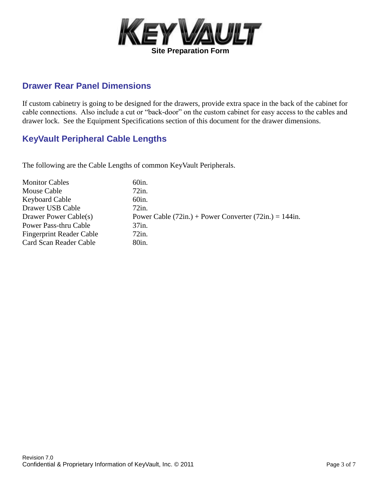

### **Drawer Rear Panel Dimensions**

If custom cabinetry is going to be designed for the drawers, provide extra space in the back of the cabinet for cable connections. Also include a cut or "back-door" on the custom cabinet for easy access to the cables and drawer lock. See the Equipment Specifications section of this document for the drawer dimensions.

### **KeyVault Peripheral Cable Lengths**

The following are the Cable Lengths of common KeyVault Peripherals.

| <b>Monitor Cables</b>           | 60in.                                                      |
|---------------------------------|------------------------------------------------------------|
| Mouse Cable                     | 72in.                                                      |
| Keyboard Cable                  | 60in.                                                      |
| Drawer USB Cable                | 72in.                                                      |
| Drawer Power Cable(s)           | Power Cable $(72in.)$ + Power Converter $(72in.)$ = 144in. |
| Power Pass-thru Cable           | $37$ in.                                                   |
| <b>Fingerprint Reader Cable</b> | $72$ in.                                                   |
| Card Scan Reader Cable          | 80in.                                                      |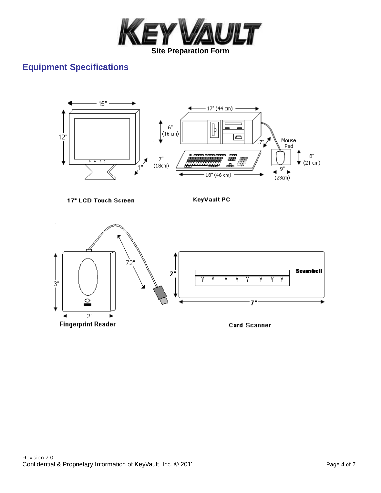

# **Equipment Specifications**



Revision 7.0 Confidential & Proprietary Information of KeyVault, Inc. © 2011 Confidential & Proprietary Information of KeyVault, Inc. © 2011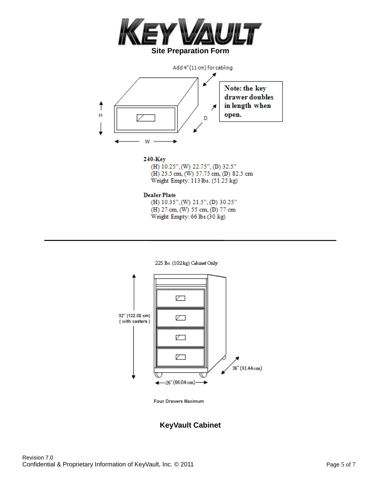



#### 240 Key

(H) 10.25", (W) 22.75", (D) 32.5" (H) 25.5 cm, (W) 57.75 cm, (D) 82.5 cm Weight Empty: 113 lbs. (51.25 kg)

#### **Dealer Plate**

(H) 10.35", (W) 21.5", (D) 30.25" (H) 27 cm, (W) 55 cm, (D) 77 cm Weight Empty: 66 lbs (30 kg)





**Four Drawers Maximum** 

### **KeyVault Cabinet**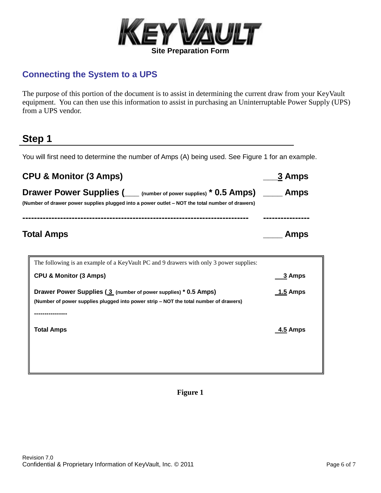

## **Connecting the System to a UPS**

The purpose of this portion of the document is to assist in determining the current draw from your KeyVault equipment. You can then use this information to assist in purchasing an Uninterruptable Power Supply (UPS) from a UPS vendor.

# **Step 1**

You will first need to determine the number of Amps (A) being used. See Figure 1 for an example.

| <b>CPU &amp; Monitor (3 Amps)</b>                                                                                                                                                | 3 Amps      |
|----------------------------------------------------------------------------------------------------------------------------------------------------------------------------------|-------------|
| Drawer Power Supplies (Carry number of power supplies) * 0.5 Amps (Carry Amps<br>(Number of drawer power supplies plugged into a power outlet – NOT the total number of drawers) |             |
|                                                                                                                                                                                  |             |
| <b>Total Amps</b>                                                                                                                                                                | <b>Amps</b> |

| The following is an example of a KeyVault PC and 9 drawers with only 3 power supplies:                                                                   |               |
|----------------------------------------------------------------------------------------------------------------------------------------------------------|---------------|
| <b>CPU &amp; Monitor (3 Amps)</b>                                                                                                                        | <u>3</u> Amps |
| Drawer Power Supplies (3 (number of power supplies) * 0.5 Amps)<br>(Number of power supplies plugged into power strip – NOT the total number of drawers) | 1.5 Amps      |
| <b>Total Amps</b>                                                                                                                                        | 4.5 Amps      |
|                                                                                                                                                          |               |

#### **Figure 1**